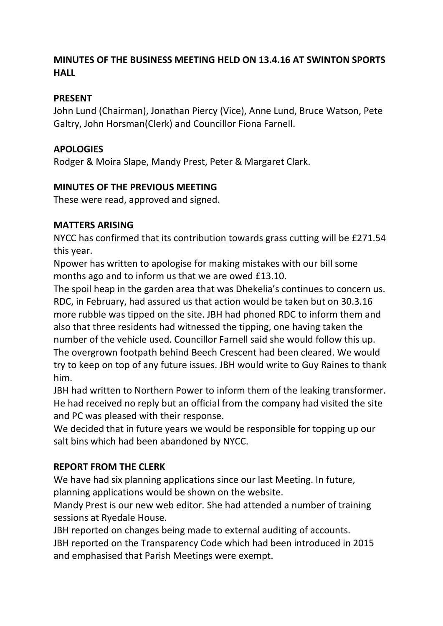## **MINUTES OF THE BUSINESS MEETING HELD ON 13.4.16 AT SWINTON SPORTS HALL**

### **PRESENT**

John Lund (Chairman), Jonathan Piercy (Vice), Anne Lund, Bruce Watson, Pete Galtry, John Horsman(Clerk) and Councillor Fiona Farnell.

## **APOLOGIES**

Rodger & Moira Slape, Mandy Prest, Peter & Margaret Clark.

## **MINUTES OF THE PREVIOUS MEETING**

These were read, approved and signed.

#### **MATTERS ARISING**

NYCC has confirmed that its contribution towards grass cutting will be £271.54 this year.

Npower has written to apologise for making mistakes with our bill some months ago and to inform us that we are owed £13.10.

The spoil heap in the garden area that was Dhekelia's continues to concern us. RDC, in February, had assured us that action would be taken but on 30.3.16 more rubble was tipped on the site. JBH had phoned RDC to inform them and also that three residents had witnessed the tipping, one having taken the number of the vehicle used. Councillor Farnell said she would follow this up. The overgrown footpath behind Beech Crescent had been cleared. We would try to keep on top of any future issues. JBH would write to Guy Raines to thank him.

JBH had written to Northern Power to inform them of the leaking transformer. He had received no reply but an official from the company had visited the site and PC was pleased with their response.

We decided that in future years we would be responsible for topping up our salt bins which had been abandoned by NYCC.

# **REPORT FROM THE CLERK**

We have had six planning applications since our last Meeting. In future, planning applications would be shown on the website.

Mandy Prest is our new web editor. She had attended a number of training sessions at Ryedale House.

JBH reported on changes being made to external auditing of accounts. JBH reported on the Transparency Code which had been introduced in 2015 and emphasised that Parish Meetings were exempt.